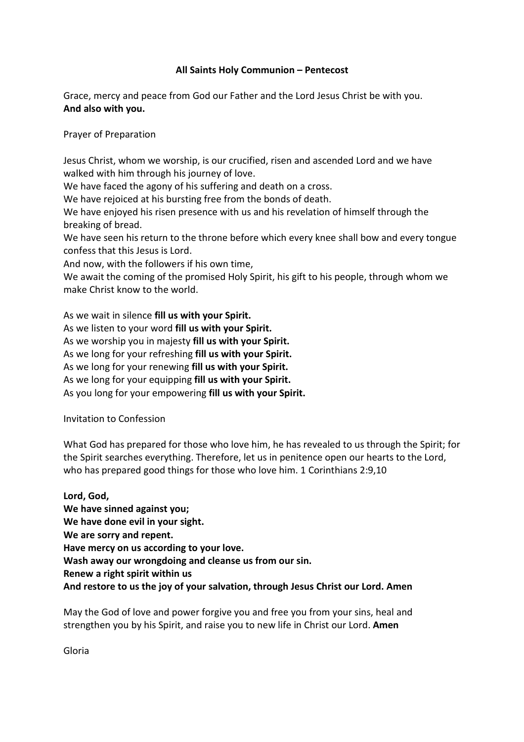## **All Saints Holy Communion – Pentecost**

Grace, mercy and peace from God our Father and the Lord Jesus Christ be with you. **And also with you.** 

Prayer of Preparation

Jesus Christ, whom we worship, is our crucified, risen and ascended Lord and we have walked with him through his journey of love.

We have faced the agony of his suffering and death on a cross.

We have rejoiced at his bursting free from the bonds of death.

We have enjoyed his risen presence with us and his revelation of himself through the breaking of bread.

We have seen his return to the throne before which every knee shall bow and every tongue confess that this Jesus is Lord.

And now, with the followers if his own time,

We await the coming of the promised Holy Spirit, his gift to his people, through whom we make Christ know to the world.

As we wait in silence **fill us with your Spirit.** 

As we listen to your word **fill us with your Spirit.** 

As we worship you in majesty **fill us with your Spirit.** 

As we long for your refreshing **fill us with your Spirit.** 

As we long for your renewing **fill us with your Spirit.** 

As we long for your equipping **fill us with your Spirit.** 

As you long for your empowering **fill us with your Spirit.** 

Invitation to Confession

What God has prepared for those who love him, he has revealed to us through the Spirit; for the Spirit searches everything. Therefore, let us in penitence open our hearts to the Lord, who has prepared good things for those who love him. 1 Corinthians 2:9,10

**Lord, God, We have sinned against you; We have done evil in your sight. We are sorry and repent. Have mercy on us according to your love. Wash away our wrongdoing and cleanse us from our sin. Renew a right spirit within us And restore to us the joy of your salvation, through Jesus Christ our Lord. Amen** 

May the God of love and power forgive you and free you from your sins, heal and strengthen you by his Spirit, and raise you to new life in Christ our Lord. **Amen** 

Gloria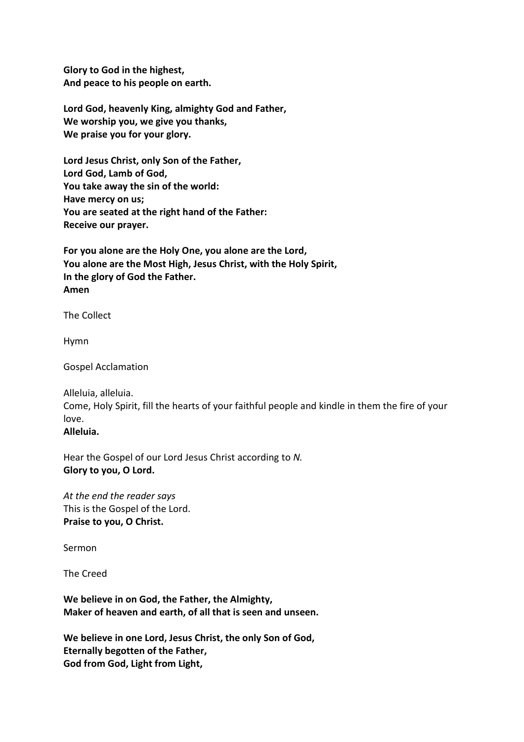**Glory to God in the highest, And peace to his people on earth.** 

**Lord God, heavenly King, almighty God and Father, We worship you, we give you thanks, We praise you for your glory.** 

**Lord Jesus Christ, only Son of the Father, Lord God, Lamb of God, You take away the sin of the world: Have mercy on us; You are seated at the right hand of the Father: Receive our prayer.** 

**For you alone are the Holy One, you alone are the Lord, You alone are the Most High, Jesus Christ, with the Holy Spirit, In the glory of God the Father. Amen** 

The Collect

Hymn

Gospel Acclamation

Alleluia, alleluia. Come, Holy Spirit, fill the hearts of your faithful people and kindle in them the fire of your love. **Alleluia.** 

Hear the Gospel of our Lord Jesus Christ according to *N.*  **Glory to you, O Lord.** 

*At the end the reader says*  This is the Gospel of the Lord. **Praise to you, O Christ.** 

Sermon

The Creed

**We believe in on God, the Father, the Almighty, Maker of heaven and earth, of all that is seen and unseen.** 

**We believe in one Lord, Jesus Christ, the only Son of God, Eternally begotten of the Father, God from God, Light from Light,**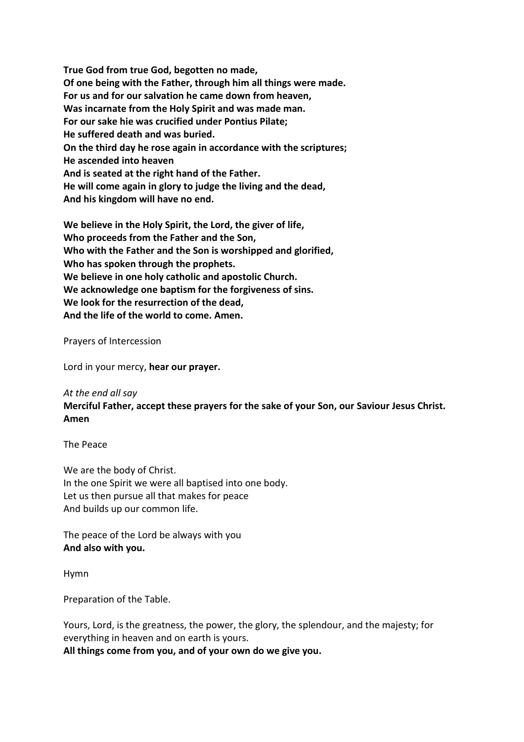**True God from true God, begotten no made, Of one being with the Father, through him all things were made. For us and for our salvation he came down from heaven, Was incarnate from the Holy Spirit and was made man. For our sake hie was crucified under Pontius Pilate; He suffered death and was buried. On the third day he rose again in accordance with the scriptures; He ascended into heaven And is seated at the right hand of the Father. He will come again in glory to judge the living and the dead, And his kingdom will have no end.** 

**We believe in the Holy Spirit, the Lord, the giver of life, Who proceeds from the Father and the Son, Who with the Father and the Son is worshipped and glorified, Who has spoken through the prophets. We believe in one holy catholic and apostolic Church. We acknowledge one baptism for the forgiveness of sins. We look for the resurrection of the dead, And the life of the world to come. Amen.** 

Prayers of Intercession

Lord in your mercy, **hear our prayer.** 

# *At the end all say*  **Merciful Father, accept these prayers for the sake of your Son, our Saviour Jesus Christ. Amen**

The Peace

We are the body of Christ. In the one Spirit we were all baptised into one body. Let us then pursue all that makes for peace And builds up our common life.

The peace of the Lord be always with you **And also with you.** 

Hymn

Preparation of the Table.

Yours, Lord, is the greatness, the power, the glory, the splendour, and the majesty; for everything in heaven and on earth is yours. **All things come from you, and of your own do we give you.**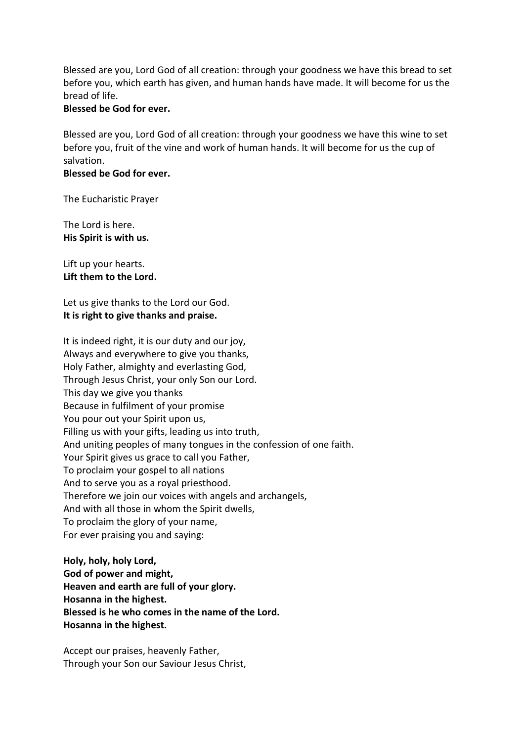Blessed are you, Lord God of all creation: through your goodness we have this bread to set before you, which earth has given, and human hands have made. It will become for us the bread of life.

### **Blessed be God for ever.**

Blessed are you, Lord God of all creation: through your goodness we have this wine to set before you, fruit of the vine and work of human hands. It will become for us the cup of salvation.

#### **Blessed be God for ever.**

The Eucharistic Prayer

The Lord is here. **His Spirit is with us.** 

Lift up your hearts. **Lift them to the Lord.** 

Let us give thanks to the Lord our God. **It is right to give thanks and praise.** 

It is indeed right, it is our duty and our joy, Always and everywhere to give you thanks, Holy Father, almighty and everlasting God, Through Jesus Christ, your only Son our Lord. This day we give you thanks Because in fulfilment of your promise You pour out your Spirit upon us, Filling us with your gifts, leading us into truth, And uniting peoples of many tongues in the confession of one faith. Your Spirit gives us grace to call you Father, To proclaim your gospel to all nations And to serve you as a royal priesthood. Therefore we join our voices with angels and archangels, And with all those in whom the Spirit dwells, To proclaim the glory of your name, For ever praising you and saying:

**Holy, holy, holy Lord, God of power and might, Heaven and earth are full of your glory. Hosanna in the highest. Blessed is he who comes in the name of the Lord. Hosanna in the highest.** 

Accept our praises, heavenly Father, Through your Son our Saviour Jesus Christ,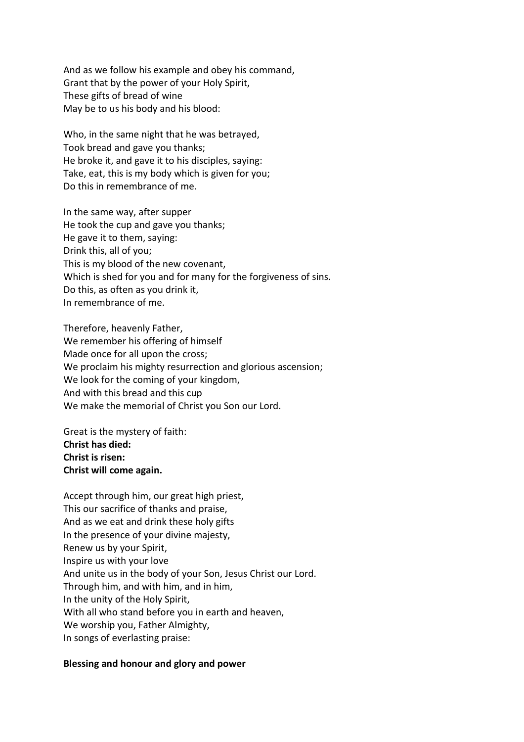And as we follow his example and obey his command, Grant that by the power of your Holy Spirit, These gifts of bread of wine May be to us his body and his blood:

Who, in the same night that he was betrayed, Took bread and gave you thanks; He broke it, and gave it to his disciples, saying: Take, eat, this is my body which is given for you; Do this in remembrance of me.

In the same way, after supper He took the cup and gave you thanks; He gave it to them, saying: Drink this, all of you; This is my blood of the new covenant, Which is shed for you and for many for the forgiveness of sins. Do this, as often as you drink it, In remembrance of me.

Therefore, heavenly Father, We remember his offering of himself Made once for all upon the cross; We proclaim his mighty resurrection and glorious ascension; We look for the coming of your kingdom, And with this bread and this cup We make the memorial of Christ you Son our Lord.

Great is the mystery of faith: **Christ has died: Christ is risen: Christ will come again.** 

Accept through him, our great high priest, This our sacrifice of thanks and praise, And as we eat and drink these holy gifts In the presence of your divine majesty, Renew us by your Spirit, Inspire us with your love And unite us in the body of your Son, Jesus Christ our Lord. Through him, and with him, and in him, In the unity of the Holy Spirit, With all who stand before you in earth and heaven, We worship you, Father Almighty, In songs of everlasting praise:

#### **Blessing and honour and glory and power**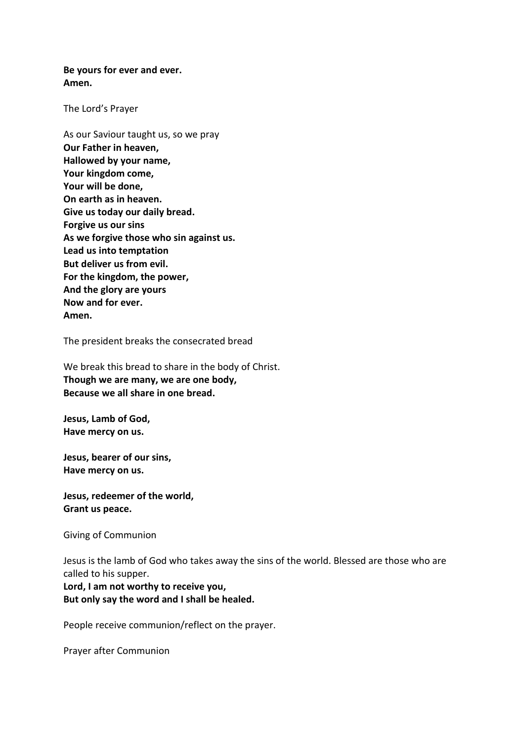**Be yours for ever and ever. Amen.** 

The Lord's Prayer

As our Saviour taught us, so we pray **Our Father in heaven, Hallowed by your name, Your kingdom come, Your will be done, On earth as in heaven. Give us today our daily bread. Forgive us our sins As we forgive those who sin against us. Lead us into temptation But deliver us from evil. For the kingdom, the power, And the glory are yours Now and for ever. Amen.** 

The president breaks the consecrated bread

We break this bread to share in the body of Christ. **Though we are many, we are one body, Because we all share in one bread.** 

**Jesus, Lamb of God, Have mercy on us.** 

**Jesus, bearer of our sins, Have mercy on us.** 

**Jesus, redeemer of the world, Grant us peace.** 

Giving of Communion

Jesus is the lamb of God who takes away the sins of the world. Blessed are those who are called to his supper.

**Lord, I am not worthy to receive you, But only say the word and I shall be healed.** 

People receive communion/reflect on the prayer.

Prayer after Communion